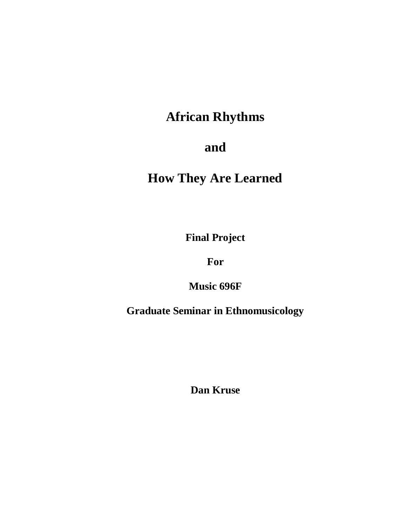# **African Rhythms**

# **and**

# **How They Are Learned**

**Final Project** 

**For**

**Music 696F**

**Graduate Seminar in Ethnomusicology**

**Dan Kruse**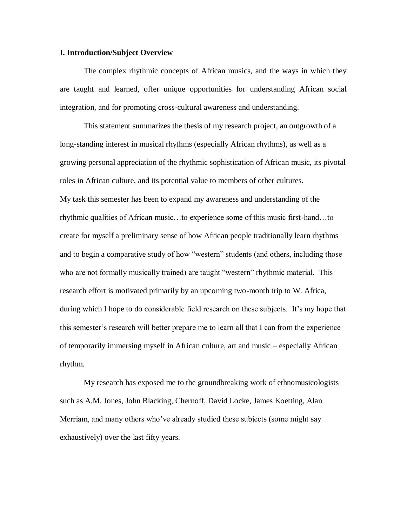#### **I. Introduction/Subject Overview**

The complex rhythmic concepts of African musics, and the ways in which they are taught and learned, offer unique opportunities for understanding African social integration, and for promoting cross-cultural awareness and understanding.

This statement summarizes the thesis of my research project, an outgrowth of a long-standing interest in musical rhythms (especially African rhythms), as well as a growing personal appreciation of the rhythmic sophistication of African music, its pivotal roles in African culture, and its potential value to members of other cultures. My task this semester has been to expand my awareness and understanding of the rhythmic qualities of African music…to experience some of this music first-hand…to create for myself a preliminary sense of how African people traditionally learn rhythms and to begin a comparative study of how "western" students (and others, including those who are not formally musically trained) are taught "western" rhythmic material. This research effort is motivated primarily by an upcoming two-month trip to W. Africa, during which I hope to do considerable field research on these subjects. It's my hope that this semester's research will better prepare me to learn all that I can from the experience of temporarily immersing myself in African culture, art and music – especially African rhythm.

My research has exposed me to the groundbreaking work of ethnomusicologists such as A.M. Jones, John Blacking, Chernoff, David Locke, James Koetting, Alan Merriam, and many others who've already studied these subjects (some might say exhaustively) over the last fifty years.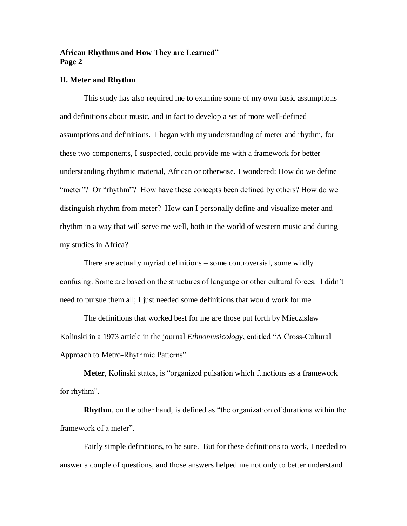#### **II. Meter and Rhythm**

This study has also required me to examine some of my own basic assumptions and definitions about music, and in fact to develop a set of more well-defined assumptions and definitions. I began with my understanding of meter and rhythm, for these two components, I suspected, could provide me with a framework for better understanding rhythmic material, African or otherwise. I wondered: How do we define "meter"? Or "rhythm"? How have these concepts been defined by others? How do we distinguish rhythm from meter? How can I personally define and visualize meter and rhythm in a way that will serve me well, both in the world of western music and during my studies in Africa?

There are actually myriad definitions – some controversial, some wildly confusing. Some are based on the structures of language or other cultural forces. I didn't need to pursue them all; I just needed some definitions that would work for me.

The definitions that worked best for me are those put forth by Mieczlslaw Kolinski in a 1973 article in the journal *Ethnomusicology*, entitled "A Cross-Cultural Approach to Metro-Rhythmic Patterns".

**Meter**, Kolinski states, is "organized pulsation which functions as a framework for rhythm".

**Rhythm**, on the other hand, is defined as "the organization of durations within the framework of a meter".

Fairly simple definitions, to be sure. But for these definitions to work, I needed to answer a couple of questions, and those answers helped me not only to better understand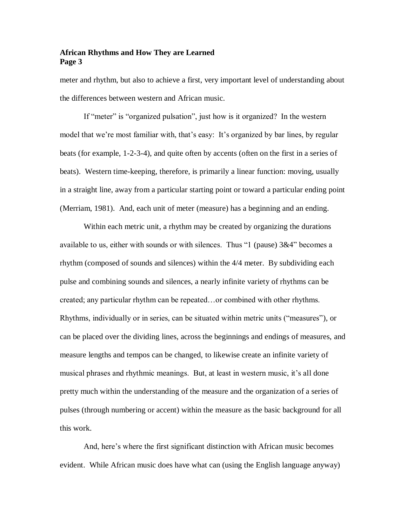meter and rhythm, but also to achieve a first, very important level of understanding about the differences between western and African music.

If "meter" is "organized pulsation", just how is it organized? In the western model that we're most familiar with, that's easy: It's organized by bar lines, by regular beats (for example, 1-2-3-4), and quite often by accents (often on the first in a series of beats). Western time-keeping, therefore, is primarily a linear function: moving, usually in a straight line, away from a particular starting point or toward a particular ending point (Merriam, 1981). And, each unit of meter (measure) has a beginning and an ending.

Within each metric unit, a rhythm may be created by organizing the durations available to us, either with sounds or with silences. Thus "1 (pause)  $3\&4$ " becomes a rhythm (composed of sounds and silences) within the 4/4 meter. By subdividing each pulse and combining sounds and silences, a nearly infinite variety of rhythms can be created; any particular rhythm can be repeated…or combined with other rhythms. Rhythms, individually or in series, can be situated within metric units ("measures"), or can be placed over the dividing lines, across the beginnings and endings of measures, and measure lengths and tempos can be changed, to likewise create an infinite variety of musical phrases and rhythmic meanings. But, at least in western music, it's all done pretty much within the understanding of the measure and the organization of a series of pulses (through numbering or accent) within the measure as the basic background for all this work.

And, here's where the first significant distinction with African music becomes evident. While African music does have what can (using the English language anyway)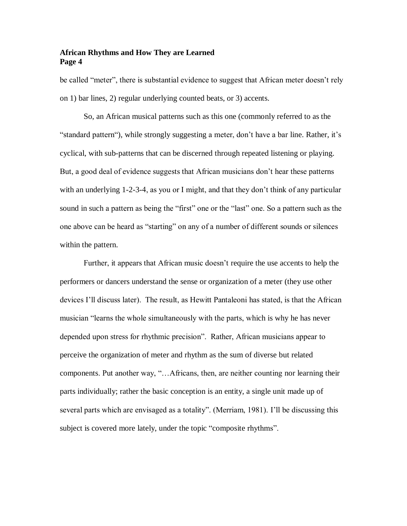be called "meter", there is substantial evidence to suggest that African meter doesn't rely on 1) bar lines, 2) regular underlying counted beats, or 3) accents.

So, an African musical patterns such as this one (commonly referred to as the "standard pattern"), while strongly suggesting a meter, don't have a bar line. Rather, it's cyclical, with sub-patterns that can be discerned through repeated listening or playing. But, a good deal of evidence suggests that African musicians don't hear these patterns with an underlying 1-2-3-4, as you or I might, and that they don't think of any particular sound in such a pattern as being the "first" one or the "last" one. So a pattern such as the one above can be heard as "starting" on any of a number of different sounds or silences within the pattern.

Further, it appears that African music doesn't require the use accents to help the performers or dancers understand the sense or organization of a meter (they use other devices I'll discuss later). The result, as Hewitt Pantaleoni has stated, is that the African musician "learns the whole simultaneously with the parts, which is why he has never depended upon stress for rhythmic precision". Rather, African musicians appear to perceive the organization of meter and rhythm as the sum of diverse but related components. Put another way, "…Africans, then, are neither counting nor learning their parts individually; rather the basic conception is an entity, a single unit made up of several parts which are envisaged as a totality". (Merriam, 1981). I'll be discussing this subject is covered more lately, under the topic "composite rhythms".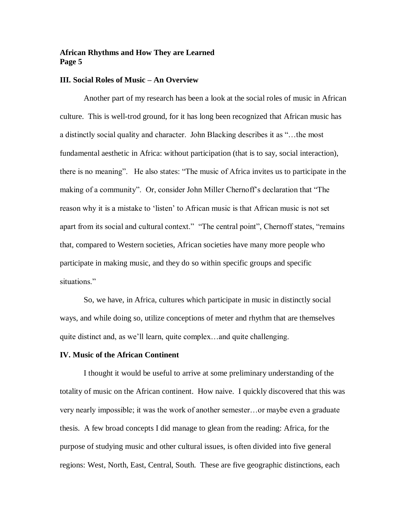# **III. Social Roles of Music – An Overview**

Another part of my research has been a look at the social roles of music in African culture. This is well-trod ground, for it has long been recognized that African music has a distinctly social quality and character. John Blacking describes it as "…the most fundamental aesthetic in Africa: without participation (that is to say, social interaction), there is no meaning". He also states: "The music of Africa invites us to participate in the making of a community". Or, consider John Miller Chernoff's declaration that "The reason why it is a mistake to 'listen' to African music is that African music is not set apart from its social and cultural context." "The central point", Chernoff states, "remains that, compared to Western societies, African societies have many more people who participate in making music, and they do so within specific groups and specific situations."

So, we have, in Africa, cultures which participate in music in distinctly social ways, and while doing so, utilize conceptions of meter and rhythm that are themselves quite distinct and, as we'll learn, quite complex…and quite challenging.

#### **IV. Music of the African Continent**

I thought it would be useful to arrive at some preliminary understanding of the totality of music on the African continent. How naive. I quickly discovered that this was very nearly impossible; it was the work of another semester…or maybe even a graduate thesis. A few broad concepts I did manage to glean from the reading: Africa, for the purpose of studying music and other cultural issues, is often divided into five general regions: West, North, East, Central, South. These are five geographic distinctions, each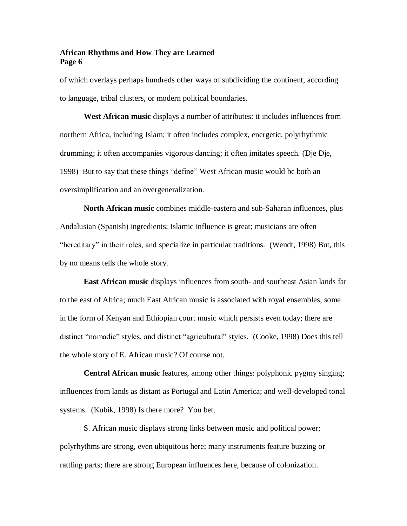of which overlays perhaps hundreds other ways of subdividing the continent, according to language, tribal clusters, or modern political boundaries.

**West African music** displays a number of attributes: it includes influences from northern Africa, including Islam; it often includes complex, energetic, polyrhythmic drumming; it often accompanies vigorous dancing; it often imitates speech. (Dje Dje, 1998) But to say that these things "define" West African music would be both an oversimplification and an overgeneralization.

**North African music** combines middle-eastern and sub-Saharan influences, plus Andalusian (Spanish) ingredients; Islamic influence is great; musicians are often "hereditary" in their roles, and specialize in particular traditions. (Wendt, 1998) But, this by no means tells the whole story.

**East African music** displays influences from south- and southeast Asian lands far to the east of Africa; much East African music is associated with royal ensembles, some in the form of Kenyan and Ethiopian court music which persists even today; there are distinct "nomadic" styles, and distinct "agricultural" styles. (Cooke, 1998) Does this tell the whole story of E. African music? Of course not.

**Central African music** features, among other things: polyphonic pygmy singing; influences from lands as distant as Portugal and Latin America; and well-developed tonal systems. (Kubik, 1998) Is there more? You bet.

S. African music displays strong links between music and political power; polyrhythms are strong, even ubiquitous here; many instruments feature buzzing or rattling parts; there are strong European influences here, because of colonization.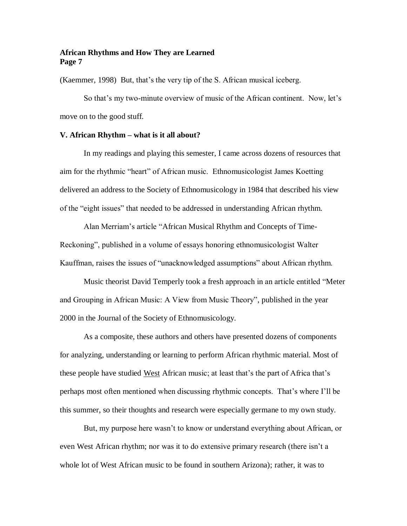(Kaemmer, 1998) But, that's the very tip of the S. African musical iceberg.

So that's my two-minute overview of music of the African continent. Now, let's move on to the good stuff.

#### **V. African Rhythm – what is it all about?**

In my readings and playing this semester, I came across dozens of resources that aim for the rhythmic "heart" of African music. Ethnomusicologist James Koetting delivered an address to the Society of Ethnomusicology in 1984 that described his view of the "eight issues" that needed to be addressed in understanding African rhythm.

Alan Merriam's article "African Musical Rhythm and Concepts of Time-Reckoning", published in a volume of essays honoring ethnomusicologist Walter Kauffman, raises the issues of "unacknowledged assumptions" about African rhythm.

Music theorist David Temperly took a fresh approach in an article entitled "Meter and Grouping in African Music: A View from Music Theory", published in the year 2000 in the Journal of the Society of Ethnomusicology.

As a composite, these authors and others have presented dozens of components for analyzing, understanding or learning to perform African rhythmic material. Most of these people have studied West African music; at least that's the part of Africa that's perhaps most often mentioned when discussing rhythmic concepts. That's where I'll be this summer, so their thoughts and research were especially germane to my own study.

But, my purpose here wasn't to know or understand everything about African, or even West African rhythm; nor was it to do extensive primary research (there isn't a whole lot of West African music to be found in southern Arizona); rather, it was to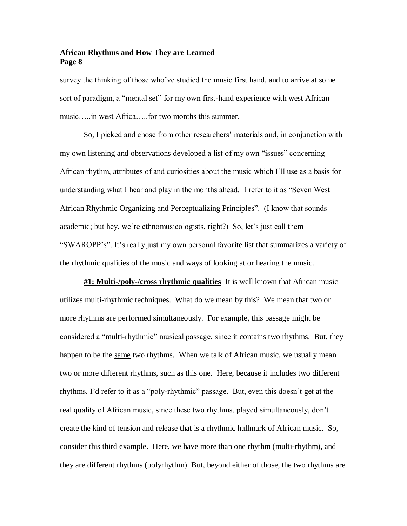survey the thinking of those who've studied the music first hand, and to arrive at some sort of paradigm, a "mental set" for my own first-hand experience with west African music…..in west Africa…..for two months this summer.

So, I picked and chose from other researchers' materials and, in conjunction with my own listening and observations developed a list of my own "issues" concerning African rhythm, attributes of and curiosities about the music which I'll use as a basis for understanding what I hear and play in the months ahead. I refer to it as "Seven West African Rhythmic Organizing and Perceptualizing Principles". (I know that sounds academic; but hey, we're ethnomusicologists, right?) So, let's just call them "SWAROPP's". It's really just my own personal favorite list that summarizes a variety of the rhythmic qualities of the music and ways of looking at or hearing the music.

**#1: Multi-/poly-/cross rhythmic qualities** It is well known that African music utilizes multi-rhythmic techniques. What do we mean by this? We mean that two or more rhythms are performed simultaneously. For example, this passage might be considered a "multi-rhythmic" musical passage, since it contains two rhythms. But, they happen to be the same two rhythms. When we talk of African music, we usually mean two or more different rhythms, such as this one. Here, because it includes two different rhythms, I'd refer to it as a "poly-rhythmic" passage. But, even this doesn't get at the real quality of African music, since these two rhythms, played simultaneously, don't create the kind of tension and release that is a rhythmic hallmark of African music. So, consider this third example. Here, we have more than one rhythm (multi-rhythm), and they are different rhythms (polyrhythm). But, beyond either of those, the two rhythms are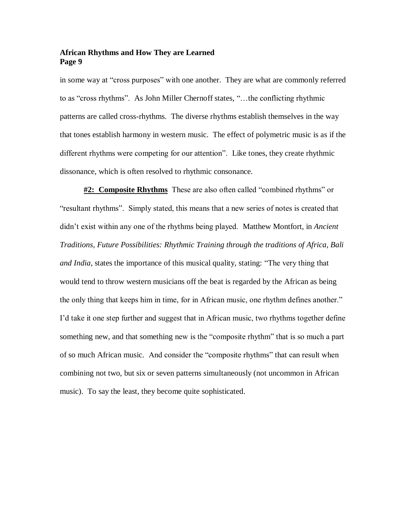in some way at "cross purposes" with one another. They are what are commonly referred to as "cross rhythms". As John Miller Chernoff states, "…the conflicting rhythmic patterns are called cross-rhythms. The diverse rhythms establish themselves in the way that tones establish harmony in western music. The effect of polymetric music is as if the different rhythms were competing for our attention". Like tones, they create rhythmic dissonance, which is often resolved to rhythmic consonance.

**#2: Composite Rhythms** These are also often called "combined rhythms" or "resultant rhythms". Simply stated, this means that a new series of notes is created that didn't exist within any one of the rhythms being played. Matthew Montfort, in *Ancient Traditions, Future Possibilities: Rhythmic Training through the traditions of Africa, Bali and India*, states the importance of this musical quality, stating: "The very thing that would tend to throw western musicians off the beat is regarded by the African as being the only thing that keeps him in time, for in African music, one rhythm defines another." I'd take it one step further and suggest that in African music, two rhythms together define something new, and that something new is the "composite rhythm" that is so much a part of so much African music. And consider the "composite rhythms" that can result when combining not two, but six or seven patterns simultaneously (not uncommon in African music). To say the least, they become quite sophisticated.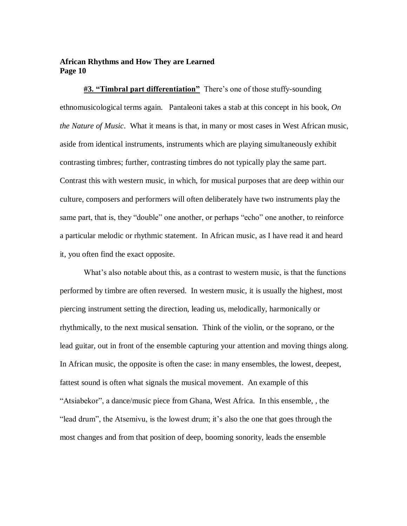**#3. "Timbral part differentiation"** There's one of those stuffy-sounding ethnomusicological terms again. Pantaleoni takes a stab at this concept in his book, *On the Nature of Music*. What it means is that, in many or most cases in West African music, aside from identical instruments, instruments which are playing simultaneously exhibit contrasting timbres; further, contrasting timbres do not typically play the same part. Contrast this with western music, in which, for musical purposes that are deep within our culture, composers and performers will often deliberately have two instruments play the same part, that is, they "double" one another, or perhaps "echo" one another, to reinforce a particular melodic or rhythmic statement. In African music, as I have read it and heard it, you often find the exact opposite.

What's also notable about this, as a contrast to western music, is that the functions performed by timbre are often reversed. In western music, it is usually the highest, most piercing instrument setting the direction, leading us, melodically, harmonically or rhythmically, to the next musical sensation. Think of the violin, or the soprano, or the lead guitar, out in front of the ensemble capturing your attention and moving things along. In African music, the opposite is often the case: in many ensembles, the lowest, deepest, fattest sound is often what signals the musical movement. An example of this "Atsiabekor", a dance/music piece from Ghana, West Africa. In this ensemble, , the "lead drum", the Atsemivu, is the lowest drum; it's also the one that goes through the most changes and from that position of deep, booming sonority, leads the ensemble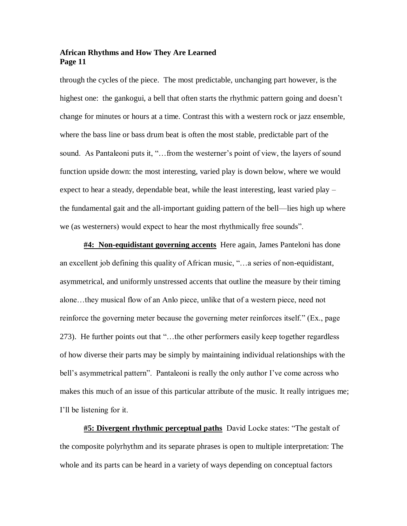through the cycles of the piece. The most predictable, unchanging part however, is the highest one: the gankogui, a bell that often starts the rhythmic pattern going and doesn't change for minutes or hours at a time. Contrast this with a western rock or jazz ensemble, where the bass line or bass drum beat is often the most stable, predictable part of the sound. As Pantaleoni puts it, "... from the westerner's point of view, the layers of sound function upside down: the most interesting, varied play is down below, where we would expect to hear a steady, dependable beat, while the least interesting, least varied play – the fundamental gait and the all-important guiding pattern of the bell—lies high up where we (as westerners) would expect to hear the most rhythmically free sounds".

**#4: Non-equidistant governing accents** Here again, James Panteloni has done an excellent job defining this quality of African music, "…a series of non-equidistant, asymmetrical, and uniformly unstressed accents that outline the measure by their timing alone…they musical flow of an Anlo piece, unlike that of a western piece, need not reinforce the governing meter because the governing meter reinforces itself." (Ex., page 273). He further points out that "…the other performers easily keep together regardless of how diverse their parts may be simply by maintaining individual relationships with the bell's asymmetrical pattern". Pantaleoni is really the only author I've come across who makes this much of an issue of this particular attribute of the music. It really intrigues me; I'll be listening for it.

**#5: Divergent rhythmic perceptual paths** David Locke states: "The gestalt of the composite polyrhythm and its separate phrases is open to multiple interpretation: The whole and its parts can be heard in a variety of ways depending on conceptual factors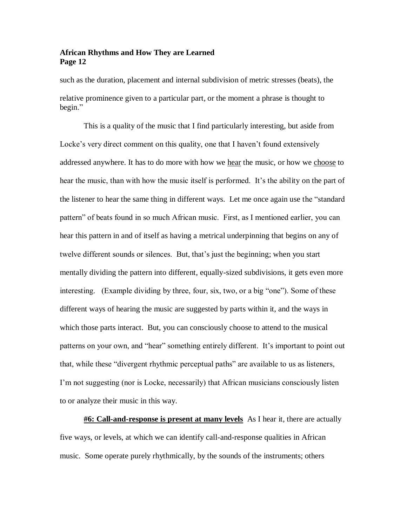such as the duration, placement and internal subdivision of metric stresses (beats), the relative prominence given to a particular part, or the moment a phrase is thought to begin."

This is a quality of the music that I find particularly interesting, but aside from Locke's very direct comment on this quality, one that I haven't found extensively addressed anywhere. It has to do more with how we hear the music, or how we choose to hear the music, than with how the music itself is performed. It's the ability on the part of the listener to hear the same thing in different ways. Let me once again use the "standard pattern" of beats found in so much African music. First, as I mentioned earlier, you can hear this pattern in and of itself as having a metrical underpinning that begins on any of twelve different sounds or silences. But, that's just the beginning; when you start mentally dividing the pattern into different, equally-sized subdivisions, it gets even more interesting. (Example dividing by three, four, six, two, or a big "one"). Some of these different ways of hearing the music are suggested by parts within it, and the ways in which those parts interact. But, you can consciously choose to attend to the musical patterns on your own, and "hear" something entirely different. It's important to point out that, while these "divergent rhythmic perceptual paths" are available to us as listeners, I'm not suggesting (nor is Locke, necessarily) that African musicians consciously listen to or analyze their music in this way.

**#6: Call-and-response is present at many levels** As I hear it, there are actually five ways, or levels, at which we can identify call-and-response qualities in African music. Some operate purely rhythmically, by the sounds of the instruments; others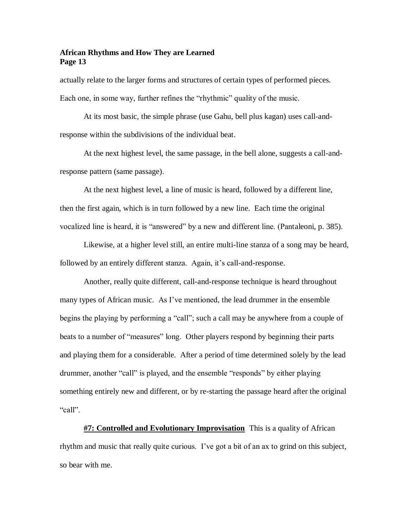actually relate to the larger forms and structures of certain types of performed pieces. Each one, in some way, further refines the "rhythmic" quality of the music.

At its most basic, the simple phrase (use Gahu, bell plus kagan) uses call-andresponse within the subdivisions of the individual beat.

At the next highest level, the same passage, in the bell alone, suggests a call-andresponse pattern (same passage).

At the next highest level, a line of music is heard, followed by a different line, then the first again, which is in turn followed by a new line. Each time the original vocalized line is heard, it is "answered" by a new and different line. (Pantaleoni, p. 385).

Likewise, at a higher level still, an entire multi-line stanza of a song may be heard, followed by an entirely different stanza. Again, it's call-and-response.

Another, really quite different, call-and-response technique is heard throughout many types of African music. As I've mentioned, the lead drummer in the ensemble begins the playing by performing a "call"; such a call may be anywhere from a couple of beats to a number of "measures" long. Other players respond by beginning their parts and playing them for a considerable. After a period of time determined solely by the lead drummer, another "call" is played, and the ensemble "responds" by either playing something entirely new and different, or by re-starting the passage heard after the original "call".

**#7: Controlled and Evolutionary Improvisation** This is a quality of African rhythm and music that really quite curious. I've got a bit of an ax to grind on this subject, so bear with me.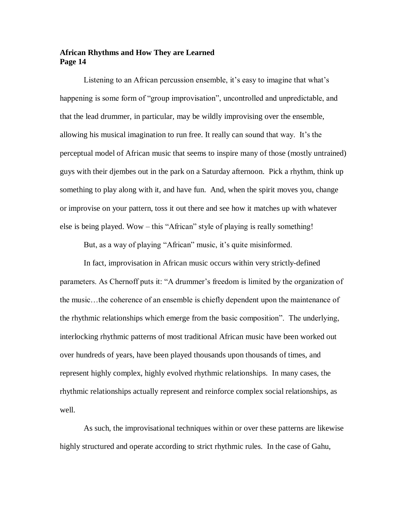Listening to an African percussion ensemble, it's easy to imagine that what's happening is some form of "group improvisation", uncontrolled and unpredictable, and that the lead drummer, in particular, may be wildly improvising over the ensemble, allowing his musical imagination to run free. It really can sound that way. It's the perceptual model of African music that seems to inspire many of those (mostly untrained) guys with their djembes out in the park on a Saturday afternoon. Pick a rhythm, think up something to play along with it, and have fun. And, when the spirit moves you, change or improvise on your pattern, toss it out there and see how it matches up with whatever else is being played. Wow – this "African" style of playing is really something!

But, as a way of playing "African" music, it's quite misinformed.

 In fact, improvisation in African music occurs within very strictly-defined parameters. As Chernoff puts it: "A drummer's freedom is limited by the organization of the music…the coherence of an ensemble is chiefly dependent upon the maintenance of the rhythmic relationships which emerge from the basic composition". The underlying, interlocking rhythmic patterns of most traditional African music have been worked out over hundreds of years, have been played thousands upon thousands of times, and represent highly complex, highly evolved rhythmic relationships. In many cases, the rhythmic relationships actually represent and reinforce complex social relationships, as well.

As such, the improvisational techniques within or over these patterns are likewise highly structured and operate according to strict rhythmic rules. In the case of Gahu,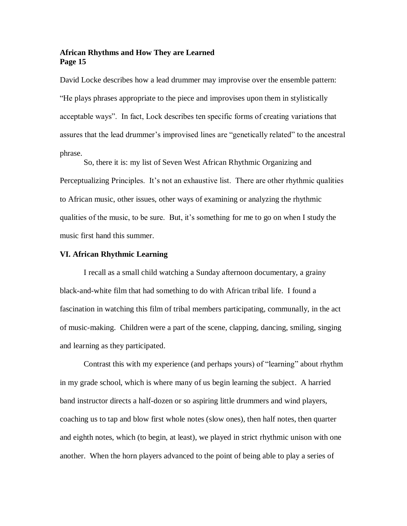David Locke describes how a lead drummer may improvise over the ensemble pattern: "He plays phrases appropriate to the piece and improvises upon them in stylistically acceptable ways". In fact, Lock describes ten specific forms of creating variations that assures that the lead drummer's improvised lines are "genetically related" to the ancestral phrase.

So, there it is: my list of Seven West African Rhythmic Organizing and Perceptualizing Principles. It's not an exhaustive list. There are other rhythmic qualities to African music, other issues, other ways of examining or analyzing the rhythmic qualities of the music, to be sure. But, it's something for me to go on when I study the music first hand this summer.

# **VI. African Rhythmic Learning**

I recall as a small child watching a Sunday afternoon documentary, a grainy black-and-white film that had something to do with African tribal life. I found a fascination in watching this film of tribal members participating, communally, in the act of music-making. Children were a part of the scene, clapping, dancing, smiling, singing and learning as they participated.

Contrast this with my experience (and perhaps yours) of "learning" about rhythm in my grade school, which is where many of us begin learning the subject. A harried band instructor directs a half-dozen or so aspiring little drummers and wind players, coaching us to tap and blow first whole notes (slow ones), then half notes, then quarter and eighth notes, which (to begin, at least), we played in strict rhythmic unison with one another. When the horn players advanced to the point of being able to play a series of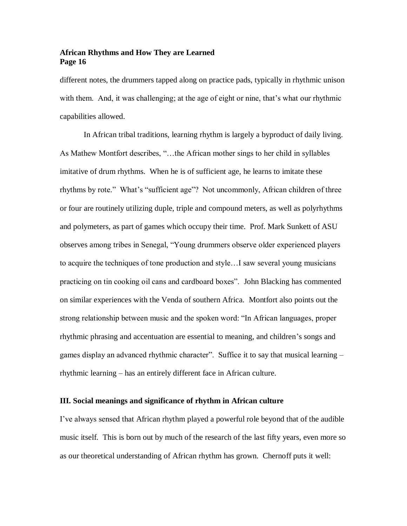different notes, the drummers tapped along on practice pads, typically in rhythmic unison with them. And, it was challenging; at the age of eight or nine, that's what our rhythmic capabilities allowed.

In African tribal traditions, learning rhythm is largely a byproduct of daily living. As Mathew Montfort describes, "…the African mother sings to her child in syllables imitative of drum rhythms. When he is of sufficient age, he learns to imitate these rhythms by rote." What's "sufficient age"? Not uncommonly, African children of three or four are routinely utilizing duple, triple and compound meters, as well as polyrhythms and polymeters, as part of games which occupy their time. Prof. Mark Sunkett of ASU observes among tribes in Senegal, "Young drummers observe older experienced players to acquire the techniques of tone production and style…I saw several young musicians practicing on tin cooking oil cans and cardboard boxes". John Blacking has commented on similar experiences with the Venda of southern Africa. Montfort also points out the strong relationship between music and the spoken word: "In African languages, proper rhythmic phrasing and accentuation are essential to meaning, and children's songs and games display an advanced rhythmic character". Suffice it to say that musical learning – rhythmic learning – has an entirely different face in African culture.

#### **III. Social meanings and significance of rhythm in African culture**

I've always sensed that African rhythm played a powerful role beyond that of the audible music itself. This is born out by much of the research of the last fifty years, even more so as our theoretical understanding of African rhythm has grown. Chernoff puts it well: